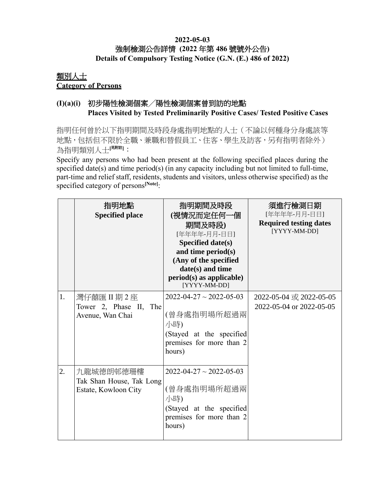#### **2022-05-03** 強制檢測公告詳情 **(2022** 年第 **486** 號號外公告**) Details of Compulsory Testing Notice (G.N. (E.) 486 of 2022)**

### 類別人士 **Category of Persons**

## **(I)(a)(i)** 初步陽性檢測個案╱陽性檢測個案曾到訪的地點 **Places Visited by Tested Preliminarily Positive Cases/ Tested Positive Cases**

指明任何曾於以下指明期間及時段身處指明地點的人士(不論以何種身分身處該等 地點,包括但不限於全職、兼職和替假員工、住客、學生及訪客,另有指明者除外) 為指明類別人士[<sup>見附註]</sup>:

Specify any persons who had been present at the following specified places during the specified date(s) and time period(s) (in any capacity including but not limited to full-time, part-time and relief staff, residents, students and visitors, unless otherwise specified) as the specified category of persons**[Note]**:

|    | 指明地點<br><b>Specified place</b>                                | 指明期間及時段<br>(視情況而定任何一個<br>期間及時段)<br>[年年年年-月月-日日]<br>Specified date(s)<br>and time period(s)<br>(Any of the specified<br>date(s) and time<br>$period(s)$ as applicable)<br>[YYYY-MM-DD] | 須進行檢測日期<br>[年年年年-月月-日日]<br><b>Required testing dates</b><br>[YYYY-MM-DD] |
|----|---------------------------------------------------------------|---------------------------------------------------------------------------------------------------------------------------------------------------------------------------------------|--------------------------------------------------------------------------|
| 1. | 灣仔囍匯 II 期 2 座<br>Tower 2, Phase II, The<br>Avenue, Wan Chai   | $2022 - 04 - 27 \sim 2022 - 05 - 03$<br>(曾身處指明場所超過兩<br>小時)<br>(Stayed at the specified<br>premises for more than 2<br>hours)                                                          | 2022-05-04 或 2022-05-05<br>2022-05-04 or 2022-05-05                      |
| 2. | 九龍城德朗邨德珊樓<br>Tak Shan House, Tak Long<br>Estate, Kowloon City | $2022 - 04 - 27 \sim 2022 - 05 - 03$<br>(曾身處指明場所超過兩<br>小時)<br>(Stayed at the specified<br>premises for more than 2<br>hours)                                                          |                                                                          |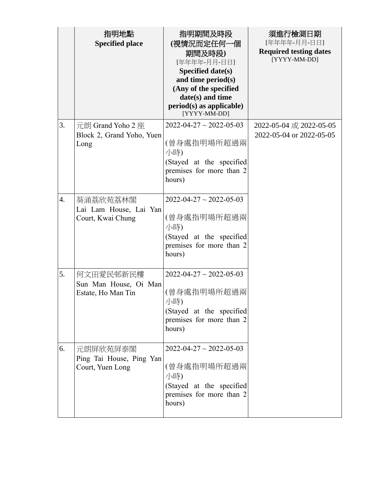|                  | 指明地點<br><b>Specified place</b>                           | 指明期間及時段<br>(視情況而定任何一個<br>期間及時段)<br>[年年年年-月月-日日]<br>Specified date(s)<br>and time period(s)<br>(Any of the specified<br>date(s) and time<br>$period(s)$ as applicable)<br>[YYYY-MM-DD] | 須進行檢測日期<br>[年年年年-月月-日日]<br><b>Required testing dates</b><br>[YYYY-MM-DD] |
|------------------|----------------------------------------------------------|---------------------------------------------------------------------------------------------------------------------------------------------------------------------------------------|--------------------------------------------------------------------------|
| 3.               | 元朗 Grand Yoho 2 座<br>Block 2, Grand Yoho, Yuen<br>Long   | $2022 - 04 - 27 \sim 2022 - 05 - 03$<br>(曾身處指明場所超過兩<br>小時)<br>(Stayed at the specified<br>premises for more than 2<br>hours)                                                          | 2022-05-04 或 2022-05-05<br>2022-05-04 or 2022-05-05                      |
| $\overline{4}$ . | 葵涌荔欣苑荔林閣<br>Lai Lam House, Lai Yan<br>Court, Kwai Chung  | $2022 - 04 - 27 \sim 2022 - 05 - 03$<br>(曾身處指明場所超過兩<br>小時)<br>(Stayed at the specified<br>premises for more than 2<br>hours)                                                          |                                                                          |
| 5.               | 何文田愛民邨新民樓<br>Sun Man House, Oi Man<br>Estate, Ho Man Tin | $2022 - 04 - 27 \sim 2022 - 05 - 03$<br>(曾身處指明場所超過兩<br>小時)<br>(Stayed at the specified<br>premises for more than 2<br>hours)                                                          |                                                                          |
| 6.               | 元朗屏欣苑屏泰閣<br>Ping Tai House, Ping Yan<br>Court, Yuen Long | $2022 - 04 - 27 \sim 2022 - 05 - 03$<br>(曾身處指明場所超過兩<br>小時)<br>(Stayed at the specified<br>premises for more than 2<br>hours)                                                          |                                                                          |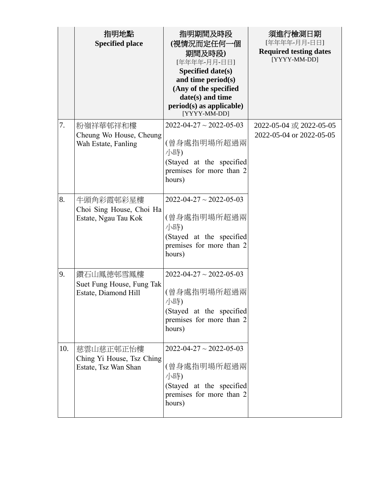|     | 指明地點<br><b>Specified place</b>                                 | 指明期間及時段<br>(視情況而定任何一個<br>期間及時段)<br>[年年年年-月月-日日]<br>Specified date(s)<br>and time period(s)<br>(Any of the specified<br>date(s) and time<br>$period(s)$ as applicable)<br>[YYYY-MM-DD] | 須進行檢測日期<br>[年年年年-月月-日日]<br><b>Required testing dates</b><br>[YYYY-MM-DD] |
|-----|----------------------------------------------------------------|---------------------------------------------------------------------------------------------------------------------------------------------------------------------------------------|--------------------------------------------------------------------------|
| 7.  | 粉嶺祥華邨祥和樓<br>Cheung Wo House, Cheung<br>Wah Estate, Fanling     | $2022 - 04 - 27 \sim 2022 - 05 - 03$<br>(曾身處指明場所超過兩<br>小時)<br>(Stayed at the specified<br>premises for more than 2<br>hours)                                                          | 2022-05-04 或 2022-05-05<br>2022-05-04 or 2022-05-05                      |
| 8.  | 牛頭角彩霞邨彩星樓<br>Choi Sing House, Choi Ha<br>Estate, Ngau Tau Kok  | $2022 - 04 - 27 \sim 2022 - 05 - 03$<br>(曾身處指明場所超過兩<br>小時)<br>(Stayed at the specified<br>premises for more than 2<br>hours)                                                          |                                                                          |
| 9.  | 鑽石山鳳德邨雪鳳樓<br>Suet Fung House, Fung Tak<br>Estate, Diamond Hill | $2022 - 04 - 27 \sim 2022 - 05 - 03$<br>(曾身處指明場所超過兩<br>小時)<br>(Stayed at the specified<br>premises for more than 2<br>hours)                                                          |                                                                          |
| 10. | 慈雲山慈正邨正怡樓<br>Ching Yi House, Tsz Ching<br>Estate, Tsz Wan Shan | $2022 - 04 - 27 \sim 2022 - 05 - 03$<br>(曾身處指明場所超過兩<br>小時)<br>(Stayed at the specified<br>premises for more than 2<br>hours)                                                          |                                                                          |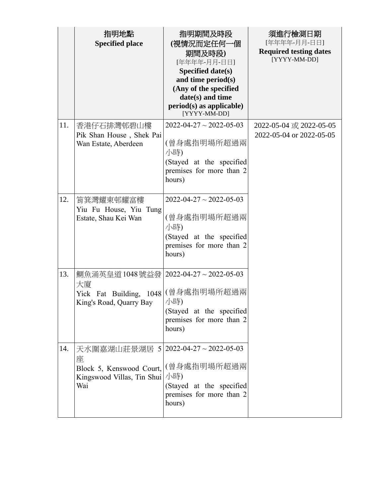|     | 指明地點<br><b>Specified place</b>                                                                                             | 指明期間及時段<br>(視情況而定任何一個<br>期間及時段)<br>[年年年年-月月-日日]<br>Specified date(s)<br>and time period(s)<br>(Any of the specified<br>date(s) and time<br>$period(s)$ as applicable)<br>[YYYY-MM-DD] | 須進行檢測日期<br>[年年年年-月月-日日]<br><b>Required testing dates</b><br>[YYYY-MM-DD] |
|-----|----------------------------------------------------------------------------------------------------------------------------|---------------------------------------------------------------------------------------------------------------------------------------------------------------------------------------|--------------------------------------------------------------------------|
| 11. | 香港仔石排灣邨碧山樓<br>Pik Shan House, Shek Pai<br>Wan Estate, Aberdeen                                                             | $2022 - 04 - 27 \sim 2022 - 05 - 03$<br>(曾身處指明場所超過兩<br>小時)<br>(Stayed at the specified<br>premises for more than 2<br>hours)                                                          | 2022-05-04 或 2022-05-05<br>2022-05-04 or 2022-05-05                      |
| 12. | 筲箕灣耀東邨耀富樓<br>Yiu Fu House, Yiu Tung<br>Estate, Shau Kei Wan                                                                | $2022 - 04 - 27 \sim 2022 - 05 - 03$<br>(曾身處指明場所超過兩<br>小時)<br>(Stayed at the specified<br>premises for more than 2<br>hours)                                                          |                                                                          |
| 13. | 鰂魚涌英皇道1048號益發   2022-04-27~2022-05-03<br>大廈<br>Yick Fat Building, 1048 (曾身處指明場所超過兩<br>King's Road, Quarry Bay              | 小時)<br>(Stayed at the specified<br>premises for more than 2<br>hours)                                                                                                                 |                                                                          |
| 14. | 天水圍嘉湖山莊景湖居 5 2022-04-27~2022-05-03<br>座<br>Block 5, Kenswood Court, (曾身處指明場所超過兩<br>Kingswood Villas, Tin Shui   小時)<br>Wai | (Stayed at the specified<br>premises for more than 2<br>hours)                                                                                                                        |                                                                          |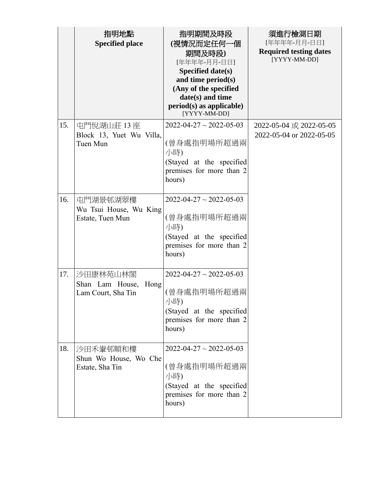|     | 指明地點                     | 指明期間及時段                                              | 須進行檢測日期                                       |
|-----|--------------------------|------------------------------------------------------|-----------------------------------------------|
|     | <b>Specified place</b>   | (視情況而定任何一個                                           | [年年年年-月月-日日]                                  |
|     |                          | 期間及時段)                                               | <b>Required testing dates</b><br>[YYYY-MM-DD] |
|     |                          | [年年年年-月月-日日]                                         |                                               |
|     |                          | Specified date(s)<br>and time period(s)              |                                               |
|     |                          | (Any of the specified                                |                                               |
|     |                          | date(s) and time                                     |                                               |
|     |                          | $period(s)$ as applicable)                           |                                               |
|     |                          | [YYYY-MM-DD]                                         |                                               |
| 15. | 屯門悅湖山莊 13座               | $2022 - 04 - 27 \sim 2022 - 05 - 03$                 | 2022-05-04 或 2022-05-05                       |
|     | Block 13, Yuet Wu Villa, |                                                      | 2022-05-04 or 2022-05-05                      |
|     | Tuen Mun                 | (曾身處指明場所超過兩                                          |                                               |
|     |                          | 小時)                                                  |                                               |
|     |                          | (Stayed at the specified<br>premises for more than 2 |                                               |
|     |                          | hours)                                               |                                               |
|     |                          |                                                      |                                               |
| 16. | 屯門湖景邨湖翠樓                 | $2022 - 04 - 27 \sim 2022 - 05 - 03$                 |                                               |
|     | Wu Tsui House, Wu King   |                                                      |                                               |
|     | Estate, Tuen Mun         | (曾身處指明場所超過兩                                          |                                               |
|     |                          | 小時)                                                  |                                               |
|     |                          | (Stayed at the specified                             |                                               |
|     |                          | premises for more than 2<br>hours)                   |                                               |
|     |                          |                                                      |                                               |
| 17. | 沙田康林苑山林閣                 | $2022 - 04 - 27 \sim 2022 - 05 - 03$                 |                                               |
|     | Shan Lam House,<br>Hong  |                                                      |                                               |
|     | Lam Court, Sha Tin       | (曾身處指明場所超過兩                                          |                                               |
|     |                          | 小時)                                                  |                                               |
|     |                          | (Stayed at the specified                             |                                               |
|     |                          | premises for more than 2<br>hours)                   |                                               |
|     |                          |                                                      |                                               |
| 18. | 沙田禾輋邨順和樓                 | $2022 - 04 - 27 \sim 2022 - 05 - 03$                 |                                               |
|     | Shun Wo House, Wo Che    |                                                      |                                               |
|     | Estate, Sha Tin          | (曾身處指明場所超過兩                                          |                                               |
|     |                          | 小時)                                                  |                                               |
|     |                          | (Stayed at the specified                             |                                               |
|     |                          | premises for more than 2<br>hours)                   |                                               |
|     |                          |                                                      |                                               |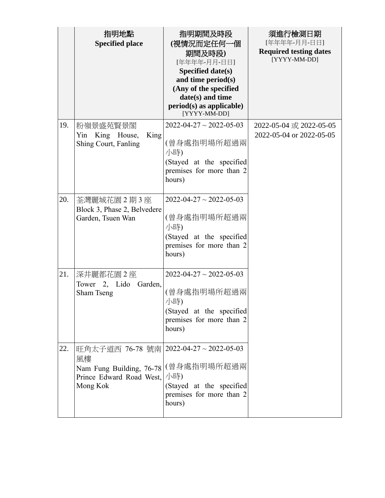|     | 指明地點<br><b>Specified place</b>                                                                                                  | 指明期間及時段<br>(視情況而定任何一個<br>期間及時段)<br>[年年年年-月月-日日]<br>Specified date(s)<br>and time period(s)<br>(Any of the specified<br>date(s) and time<br>$period(s)$ as applicable)<br>[YYYY-MM-DD] | 須進行檢測日期<br>[年年年年-月月-日日]<br><b>Required testing dates</b><br>[YYYY-MM-DD] |
|-----|---------------------------------------------------------------------------------------------------------------------------------|---------------------------------------------------------------------------------------------------------------------------------------------------------------------------------------|--------------------------------------------------------------------------|
| 19. | 粉嶺景盛苑賢景閣<br>Yin King House,<br>King<br>Shing Court, Fanling                                                                     | $2022 - 04 - 27 \sim 2022 - 05 - 03$<br>(曾身處指明場所超過兩<br>小時)<br>(Stayed at the specified<br>premises for more than 2<br>hours)                                                          | 2022-05-04 或 2022-05-05<br>2022-05-04 or 2022-05-05                      |
| 20. | 荃灣麗城花園 2期 3座<br>Block 3, Phase 2, Belvedere<br>Garden, Tsuen Wan                                                                | $2022 - 04 - 27 \sim 2022 - 05 - 03$<br>(曾身處指明場所超過兩<br>小時)<br>(Stayed at the specified<br>premises for more than 2<br>hours)                                                          |                                                                          |
| 21. | 深井麗都花園 2 座<br>Tower 2, Lido<br>Garden,<br>Sham Tseng                                                                            | $2022 - 04 - 27 \sim 2022 - 05 - 03$<br>(曾身處指明場所超過兩<br>小時)<br>(Stayed at the specified<br>premises for more than 2<br>hours)                                                          |                                                                          |
| 22. | 旺角太子道西 76-78 號南   2022-04-27 ~ 2022-05-03<br>風樓<br>Nam Fung Building, 76-78 (曾身處指明場所超過兩<br>Prince Edward Road West,<br>Mong Kok | 小時)<br>(Stayed at the specified<br>premises for more than 2<br>hours)                                                                                                                 |                                                                          |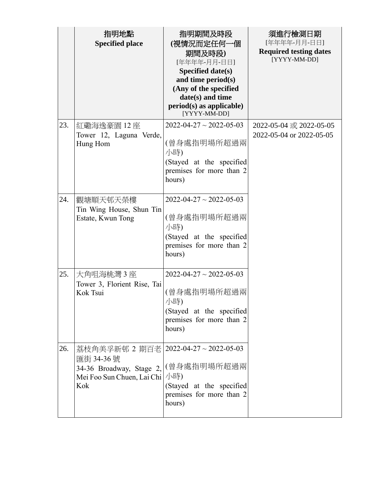|     | 指明地點<br><b>Specified place</b>                                                                                                        | 指明期間及時段<br>(視情況而定任何一個<br>期間及時段)<br>[年年年年-月月-日日]<br>Specified date(s)<br>and time period(s)<br>(Any of the specified<br>date(s) and time<br>$period(s)$ as applicable)<br>[YYYY-MM-DD] | 須進行檢測日期<br>[年年年年-月月-日日]<br><b>Required testing dates</b><br>[YYYY-MM-DD] |
|-----|---------------------------------------------------------------------------------------------------------------------------------------|---------------------------------------------------------------------------------------------------------------------------------------------------------------------------------------|--------------------------------------------------------------------------|
| 23. | 紅磡海逸豪園 12 座<br>Tower 12, Laguna Verde,<br>Hung Hom                                                                                    | $2022 - 04 - 27 \sim 2022 - 05 - 03$<br>(曾身處指明場所超過兩<br>小時)<br>(Stayed at the specified<br>premises for more than 2<br>hours)                                                          | 2022-05-04 或 2022-05-05<br>2022-05-04 or 2022-05-05                      |
| 24. | 觀塘順天邨天榮樓<br>Tin Wing House, Shun Tin<br>Estate, Kwun Tong                                                                             | $2022 - 04 - 27 \sim 2022 - 05 - 03$<br>(曾身處指明場所超過兩<br>小時)<br>(Stayed at the specified<br>premises for more than 2<br>hours)                                                          |                                                                          |
| 25. | 大角咀海桃灣 3 座<br>Tower 3, Florient Rise, Tai<br>Kok Tsui                                                                                 | $2022 - 04 - 27 \sim 2022 - 05 - 03$<br>(曾身處指明場所超過兩<br>小時)<br>(Stayed at the specified<br>premises for more than 2<br>hours)                                                          |                                                                          |
| 26. | 荔枝角美孚新邨 2 期百老   2022-04-27~2022-05-03<br>匯街 34-36號<br>34-36 Broadway, Stage 2, (曾身處指明場所超過兩<br>Mei Foo Sun Chuen, Lai Chi   小時)<br>Kok | (Stayed at the specified<br>premises for more than 2<br>hours)                                                                                                                        |                                                                          |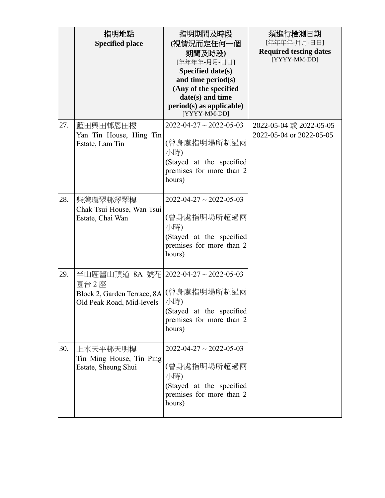|     | 指明地點<br><b>Specified place</b>                                                                                      | 指明期間及時段<br>(視情況而定任何一個<br>期間及時段)<br>[年年年年-月月-日日]<br>Specified date(s)<br>and time period(s)<br>(Any of the specified<br>date(s) and time<br>$period(s)$ as applicable)<br>[YYYY-MM-DD] | 須進行檢測日期<br>[年年年年-月月-日日]<br><b>Required testing dates</b><br>[YYYY-MM-DD] |
|-----|---------------------------------------------------------------------------------------------------------------------|---------------------------------------------------------------------------------------------------------------------------------------------------------------------------------------|--------------------------------------------------------------------------|
| 27. | 藍田興田邨恩田樓<br>Yan Tin House, Hing Tin<br>Estate, Lam Tin                                                              | $2022 - 04 - 27 \sim 2022 - 05 - 03$<br>(曾身處指明場所超過兩<br>小時)<br>(Stayed at the specified<br>premises for more than 2<br>hours)                                                          | 2022-05-04 或 2022-05-05<br>2022-05-04 or 2022-05-05                      |
| 28. | 柴灣環翠邨澤翠樓<br>Chak Tsui House, Wan Tsui<br>Estate, Chai Wan                                                           | $2022 - 04 - 27 \sim 2022 - 05 - 03$<br>(曾身處指明場所超過兩<br>小時)<br>(Stayed at the specified<br>premises for more than 2<br>hours)                                                          |                                                                          |
| 29. | 半山區舊山頂道 8A 號花 2022-04-27~2022-05-03<br>園台2座<br>Block 2, Garden Terrace, 8A (曾身處指明場所超過兩<br>Old Peak Road, Mid-levels | 小時)<br>(Stayed at the specified<br>premises for more than 2<br>hours)                                                                                                                 |                                                                          |
| 30. | 上水天平邨天明樓<br>Tin Ming House, Tin Ping<br>Estate, Sheung Shui                                                         | $2022 - 04 - 27 \sim 2022 - 05 - 03$<br>(曾身處指明場所超過兩<br>小時)<br>(Stayed at the specified<br>premises for more than 2<br>hours)                                                          |                                                                          |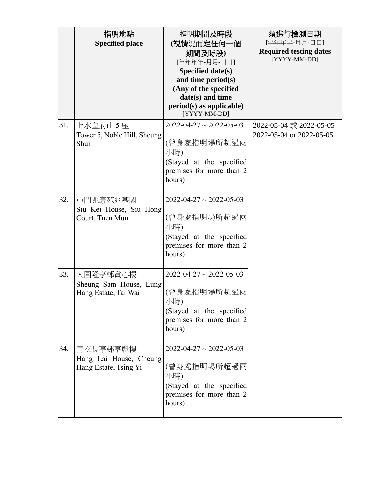|     | 指明地點<br><b>Specified place</b>                              | 指明期間及時段<br>(視情況而定任何一個<br>期間及時段)<br>[年年年年-月月-日日]<br>Specified date(s)<br>and time period(s)<br>(Any of the specified<br>date(s) and time<br>$period(s)$ as applicable)<br>[YYYY-MM-DD] | 須進行檢測日期<br>[年年年年-月月-日日]<br><b>Required testing dates</b><br>[YYYY-MM-DD] |
|-----|-------------------------------------------------------------|---------------------------------------------------------------------------------------------------------------------------------------------------------------------------------------|--------------------------------------------------------------------------|
| 31. | 上水皇府山 5 座<br>Tower 5, Noble Hill, Sheung<br>Shui            | $2022 - 04 - 27 \sim 2022 - 05 - 03$<br>(曾身處指明場所超過兩<br>小時)<br>(Stayed at the specified<br>premises for more than 2<br>hours)                                                          | 2022-05-04 或 2022-05-05<br>2022-05-04 or 2022-05-05                      |
| 32. | 屯門兆康苑兆基閣<br>Siu Kei House, Siu Hong<br>Court, Tuen Mun      | $2022 - 04 - 27 \sim 2022 - 05 - 03$<br>(曾身處指明場所超過兩<br>小時)<br>(Stayed at the specified<br>premises for more than 2<br>hours)                                                          |                                                                          |
| 33. | 大圍隆亨邨賞心樓<br>Sheung Sam House, Lung<br>Hang Estate, Tai Wai  | $2022 - 04 - 27 \sim 2022 - 05 - 03$<br>(曾身處指明場所超過兩<br>小時)<br>(Stayed at the specified<br>premises for more than 2<br>hours)                                                          |                                                                          |
| 34. | 青衣長亨邨亨麗樓<br>Hang Lai House, Cheung<br>Hang Estate, Tsing Yi | $2022 - 04 - 27 \sim 2022 - 05 - 03$<br>(曾身處指明場所超過兩<br>小時)<br>(Stayed at the specified<br>premises for more than 2<br>hours)                                                          |                                                                          |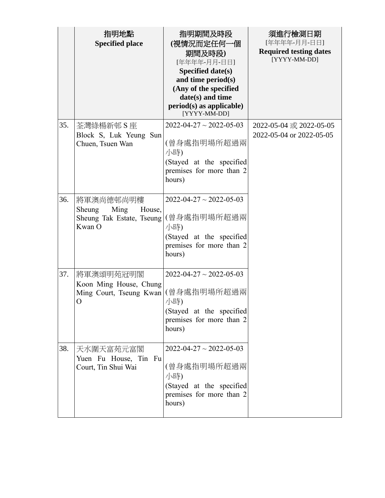|     | 指明地點<br><b>Specified place</b>                                                   | 指明期間及時段<br>(視情況而定任何一個<br>期間及時段)<br>[年年年年-月月-日日]<br>Specified date(s)<br>and time period(s)<br>(Any of the specified<br>date(s) and time<br>$period(s)$ as applicable)<br>[YYYY-MM-DD] | 須進行檢測日期<br>[年年年年-月月-日日]<br><b>Required testing dates</b><br>[YYYY-MM-DD] |
|-----|----------------------------------------------------------------------------------|---------------------------------------------------------------------------------------------------------------------------------------------------------------------------------------|--------------------------------------------------------------------------|
| 35. | 荃灣綠楊新邨S座<br>Block S, Luk Yeung Sun<br>Chuen, Tsuen Wan                           | $2022 - 04 - 27 \sim 2022 - 05 - 03$<br>(曾身處指明場所超過兩<br>小時)<br>(Stayed at the specified<br>premises for more than 2<br>hours)                                                          | 2022-05-04 或 2022-05-05<br>2022-05-04 or 2022-05-05                      |
| 36. | 將軍澳尚德邨尚明樓<br>Sheung<br>Ming<br>House,<br>Sheung Tak Estate, Tseung<br>Kwan O     | $2022 - 04 - 27 \sim 2022 - 05 - 03$<br>(曾身處指明場所超過兩<br>小時)<br>(Stayed at the specified<br>premises for more than 2<br>hours)                                                          |                                                                          |
| 37. | 將軍澳頌明苑冠明閣<br>Koon Ming House, Chung<br>Ming Court, Tseung Kwan  (曾身處指明場所超過兩<br>O | $2022 - 04 - 27 \sim 2022 - 05 - 03$<br>小時)<br>(Stayed at the specified<br>premises for more than 2<br>hours)                                                                         |                                                                          |
| 38. | 天水圍天富苑元富閣<br>Yuen Fu House, Tin Fu<br>Court, Tin Shui Wai                        | $2022 - 04 - 27 \sim 2022 - 05 - 03$<br>(曾身處指明場所超過兩<br>小時)<br>(Stayed at the specified<br>premises for more than 2<br>hours)                                                          |                                                                          |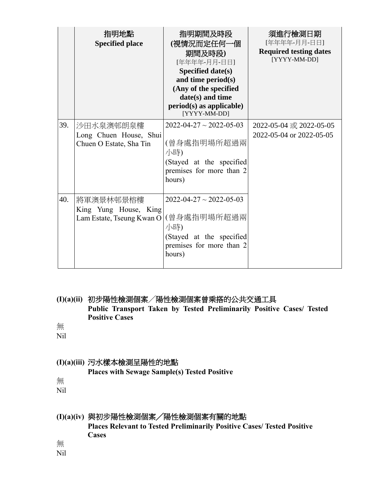|     | 指明地點<br><b>Specified place</b>                                  | 指明期間及時段<br>(視情況而定任何一個<br>期間及時段)<br>[年年年年-月月-日日]<br>Specified date(s)<br>and time period(s)<br>(Any of the specified<br>date(s) and time<br>$period(s)$ as applicable)<br>[YYYY-MM-DD] | 須進行檢測日期<br>[年年年年-月月-日日]<br><b>Required testing dates</b><br>[YYYY-MM-DD] |
|-----|-----------------------------------------------------------------|---------------------------------------------------------------------------------------------------------------------------------------------------------------------------------------|--------------------------------------------------------------------------|
| 39. | 沙田水泉澳邨朗泉樓<br>Long Chuen House, Shui<br>Chuen O Estate, Sha Tin  | $2022 - 04 - 27 \sim 2022 - 05 - 03$<br>(曾身處指明場所超過兩<br>小時)<br>(Stayed at the specified<br>premises for more than 2<br>hours)                                                          | 2022-05-04 或 2022-05-05<br>2022-05-04 or 2022-05-05                      |
| 40. | 將軍澳景林邨景榕樓<br>King Yung House, King<br>Lam Estate, Tseung Kwan O | $2022 - 04 - 27 \sim 2022 - 05 - 03$<br>(曾身處指明場所超過兩<br>小時)<br>(Stayed at the specified<br>premises for more than 2<br>hours)                                                          |                                                                          |

**(I)(a)(ii)** 初步陽性檢測個案╱陽性檢測個案曾乘搭的公共交通工具 **Public Transport Taken by Tested Preliminarily Positive Cases/ Tested Positive Cases**

無

Nil

### **(I)(a)(iii)** 污水樣本檢測呈陽性的地點

**Places with Sewage Sample(s) Tested Positive**

無

Nil

# **(I)(a)(iv)** 與初步陽性檢測個案╱陽性檢測個案有關的地點

**Places Relevant to Tested Preliminarily Positive Cases/ Tested Positive Cases** 

無

Nil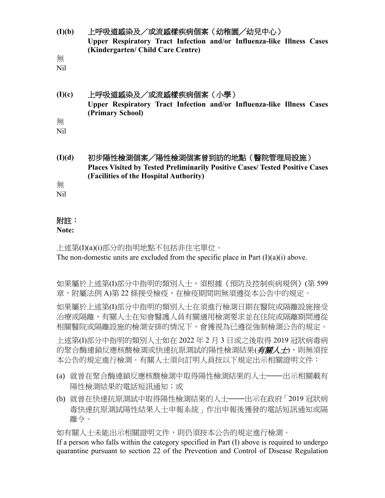**(I)(b)** 上呼吸道感染及/或流感樣疾病個案(幼稚園╱幼兒中心) **Upper Respiratory Tract Infection and/or Influenza-like Illness Cases (Kindergarten/ Child Care Centre)**

無

Nil

### **(I)(c)** 上呼吸道感染及/或流感樣疾病個案(小學) **Upper Respiratory Tract Infection and/or Influenza-like Illness Cases (Primary School)** 無

Nil

**(I)(d)** 初步陽性檢測個案╱陽性檢測個案曾到訪的地點(醫院管理局設施) **Places Visited by Tested Preliminarily Positive Cases/ Tested Positive Cases (Facilities of the Hospital Authority)**

無

Nil

# 附註:

### **Note:**

上述第(I)(a)(i)部分的指明地點不包括非住宅單位。 The non-domestic units are excluded from the specific place in Part  $(I)(a)(i)$  above.

如果屬於上述第(I)部分中指明的類別人士,須根據《預防及控制疾病規例》(第 599 章,附屬法例 A)第 22 條接受檢疫,在檢疫期間則無須遵從本公告中的規定。

如果屬於上述第(I)部分中指明的類別人士在須進行檢測日期在醫院或隔離設施接受 治療或隔離,有關人士在知會醫護人員有關適用檢測要求並在住院或隔離期間遵從 相關醫院或隔離設施的檢測安排的情況下,會獲視為已遵從強制檢測公告的規定。

上述第(I)部分中指明的類別人士如在 2022 年 2 月 3 日或之後取得 2019 冠狀病毒病 的聚合酶連鎖反應核酸檢測或快速抗原測試的陽性檢測結果(*有關人士*),則無須按 本公告的規定進行檢測。有關人士須向訂明人員按以下規定出示相關證明文件:

- (a) 就曾在聚合酶連鎖反應核酸檢測中取得陽性檢測結果的人士——出示相關載有 陽性檢測結果的電話短訊通知;或
- (b) 就曾在快速抗原測試中取得陽性檢測結果的人士——出示在政府「2019 冠狀病 毒快速抗原測試陽性結果人士申報系統」作出申報後獲發的電話短訊通知或隔 離令。

如有關人士未能出示相關證明文件,則仍須按本公告的規定進行檢測。

If a person who falls within the category specified in Part (I) above is required to undergo quarantine pursuant to section 22 of the Prevention and Control of Disease Regulation